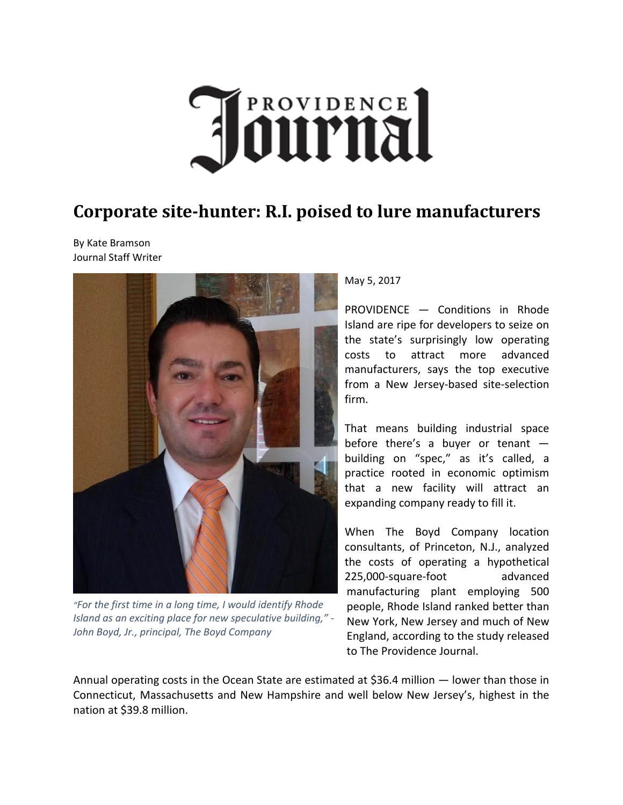

## **Corporate site‐hunter: R.I. poised to lure manufacturers**

By Kate Bramson Journal Staff Writer



*"For the first time in a long time, I would identify Rhode Island as an exciting place for new speculative building," ‐ John Boyd, Jr., principal, The Boyd Company*

## May 5, 2017

PROVIDENCE — Conditions in Rhode Island are ripe for developers to seize on the state's surprisingly low operating costs to attract more advanced manufacturers, says the top executive from a New Jersey‐based site‐selection firm.

That means building industrial space before there's a buyer or tenant  $$ building on "spec," as it's called, a practice rooted in economic optimism that a new facility will attract an expanding company ready to fill it.

When The Boyd Company location consultants, of Princeton, N.J., analyzed the costs of operating a hypothetical 225,000‐square‐foot advanced manufacturing plant employing 500 people, Rhode Island ranked better than New York, New Jersey and much of New England, according to the study released to The Providence Journal.

Annual operating costs in the Ocean State are estimated at \$36.4 million — lower than those in Connecticut, Massachusetts and New Hampshire and well below New Jersey's, highest in the nation at \$39.8 million.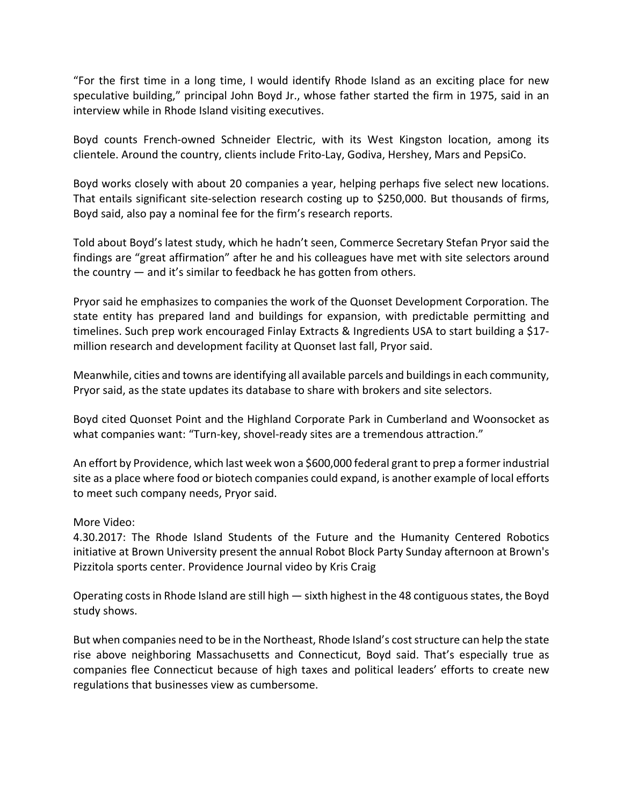"For the first time in a long time, I would identify Rhode Island as an exciting place for new speculative building," principal John Boyd Jr., whose father started the firm in 1975, said in an interview while in Rhode Island visiting executives.

Boyd counts French‐owned Schneider Electric, with its West Kingston location, among its clientele. Around the country, clients include Frito‐Lay, Godiva, Hershey, Mars and PepsiCo.

Boyd works closely with about 20 companies a year, helping perhaps five select new locations. That entails significant site‐selection research costing up to \$250,000. But thousands of firms, Boyd said, also pay a nominal fee for the firm's research reports.

Told about Boyd's latest study, which he hadn't seen, Commerce Secretary Stefan Pryor said the findings are "great affirmation" after he and his colleagues have met with site selectors around the country — and it's similar to feedback he has gotten from others.

Pryor said he emphasizes to companies the work of the Quonset Development Corporation. The state entity has prepared land and buildings for expansion, with predictable permitting and timelines. Such prep work encouraged Finlay Extracts & Ingredients USA to start building a \$17‐ million research and development facility at Quonset last fall, Pryor said.

Meanwhile, cities and towns are identifying all available parcels and buildingsin each community, Pryor said, as the state updates its database to share with brokers and site selectors.

Boyd cited Quonset Point and the Highland Corporate Park in Cumberland and Woonsocket as what companies want: "Turn-key, shovel-ready sites are a tremendous attraction."

An effort by Providence, which last week won a \$600,000 federal grant to prep a former industrial site as a place where food or biotech companies could expand, is another example of local efforts to meet such company needs, Pryor said.

## More Video:

4.30.2017: The Rhode Island Students of the Future and the Humanity Centered Robotics initiative at Brown University present the annual Robot Block Party Sunday afternoon at Brown's Pizzitola sports center. Providence Journal video by Kris Craig

Operating costs in Rhode Island are still high  $-$  sixth highest in the 48 contiguous states, the Boyd study shows.

But when companies need to be in the Northeast, Rhode Island's cost structure can help the state rise above neighboring Massachusetts and Connecticut, Boyd said. That's especially true as companies flee Connecticut because of high taxes and political leaders' efforts to create new regulations that businesses view as cumbersome.